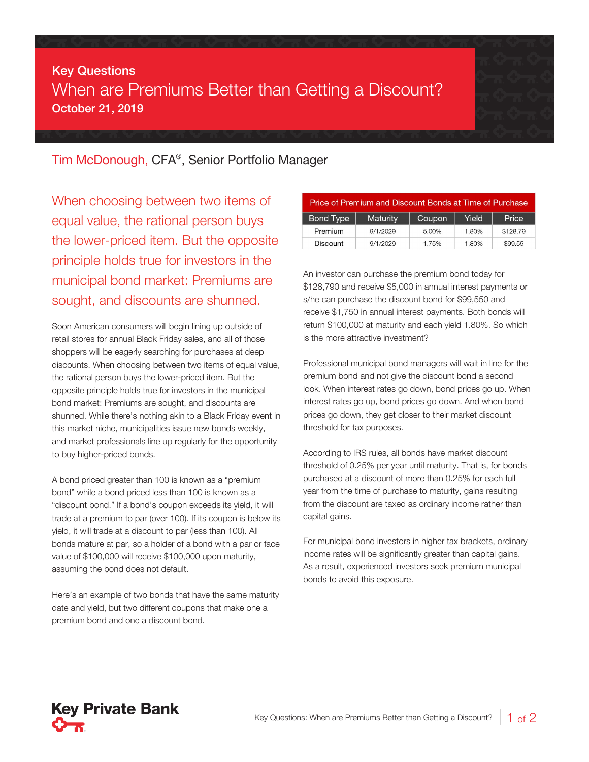## Key Questions When are Premiums Better than Getting a Discount? October 21, 2019

Tim McDonough, CFA® , Senior Portfolio Manager

When choosing between two items of equal value, the rational person buys the lower-priced item. But the opposite principle holds true for investors in the municipal bond market: Premiums are sought, and discounts are shunned.

Soon American consumers will begin lining up outside of retail stores for annual Black Friday sales, and all of those shoppers will be eagerly searching for purchases at deep discounts. When choosing between two items of equal value, the rational person buys the lower-priced item. But the opposite principle holds true for investors in the municipal bond market: Premiums are sought, and discounts are shunned. While there's nothing akin to a Black Friday event in this market niche, municipalities issue new bonds weekly, and market professionals line up regularly for the opportunity to buy higher-priced bonds.

A bond priced greater than 100 is known as a "premium bond" while a bond priced less than 100 is known as a "discount bond." If a bond's coupon exceeds its yield, it will trade at a premium to par (over 100). If its coupon is below its yield, it will trade at a discount to par (less than 100). All bonds mature at par, so a holder of a bond with a par or face value of \$100,000 will receive \$100,000 upon maturity, assuming the bond does not default.

Here's an example of two bonds that have the same maturity date and yield, but two different coupons that make one a premium bond and one a discount bond.

| Price of Premium and Discount Bonds at Time of Purchase |                 |        |       |          |  |
|---------------------------------------------------------|-----------------|--------|-------|----------|--|
| Bond Type                                               | <b>Maturity</b> | Coupon | Yield | Price    |  |
| Premium                                                 | 9/1/2029        | 5.00%  | 1.80% | \$128.79 |  |
| Discount                                                | 9/1/2029        | 1.75%  | 1.80% | \$99.55  |  |

An investor can purchase the premium bond today for \$128,790 and receive \$5,000 in annual interest payments or s/he can purchase the discount bond for \$99,550 and receive \$1,750 in annual interest payments. Both bonds will return \$100,000 at maturity and each yield 1.80%. So which is the more attractive investment?

Professional municipal bond managers will wait in line for the premium bond and not give the discount bond a second look. When interest rates go down, bond prices go up. When interest rates go up, bond prices go down. And when bond prices go down, they get closer to their market discount threshold for tax purposes.

According to IRS rules, all bonds have market discount threshold of 0.25% per year until maturity. That is, for bonds purchased at a discount of more than 0.25% for each full year from the time of purchase to maturity, gains resulting from the discount are taxed as ordinary income rather than capital gains.

For municipal bond investors in higher tax brackets, ordinary income rates will be significantly greater than capital gains. As a result, experienced investors seek premium municipal bonds to avoid this exposure.